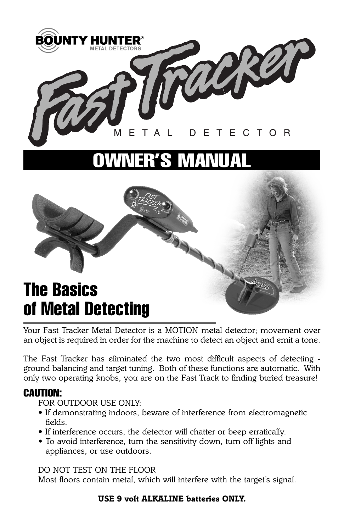

# **OWNER'S MANUAL**

## **The Basics of Metal Detecting**

*Your Fast Tracker Metal Detector is a MOTION metal detector; movement over an object is required in order for the machine to detect an object and emit a tone.*

*The Fast Tracker has eliminated the two most difficult aspects of detecting ground balancing and target tuning. Both of these functions are automatic. With only two operating knobs, you are on the Fast Track to finding buried treasure!*

#### **CAUTION:**

*FOR OUTDOOR USE ONLY:*

- *If demonstrating indoors, beware of interference from electromagnetic fields.*
- *If interference occurs, the detector will chatter or beep erratically.*
- *To avoid interference, turn the sensitivity down, turn off lights and appliances, or use outdoors.*

*DO NOT TEST ON THE FLOOR*

*Most floors contain metal, which will interfere with the target's signal.*

#### *USE 9 volt ALKALINE batteries ONLY.*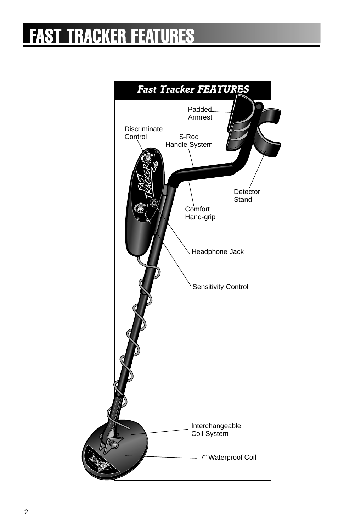## **FAST TRACKER FEATURES**

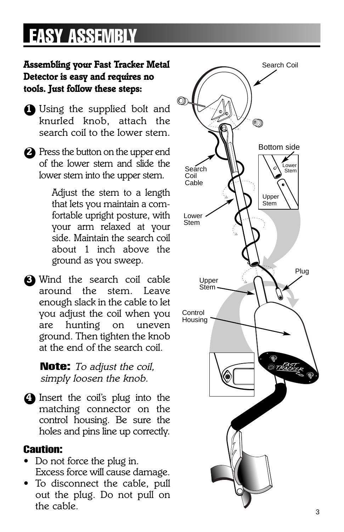# **EASY ASSEMBLY**

### *Assembling your Fast Tracker Metal Detector is easy and requires no tools. Just follow these steps:*

- ●*1 Using the supplied bolt and knurled knob, attach the search coil to the lower stem.*
- ●*2 Press the button on the upper end of the lower stem and slide the lower stem into the upper stem.*

*Adjust the stem to a length that lets you maintain a comfortable upright posture, with your arm relaxed at your side. Maintain the search coil about 1 inch above the ground as you sweep.*

●*3 Wind the search coil cable around the stem. Leave enough slack in the cable to let you adjust the coil when you are hunting on uneven ground. Then tighten the knob at the end of the search coil.*

> **Note:** *To adjust the coil, simply loosen the knob.*

●*4 Insert the coil's plug into the matching connector on the control housing. Be sure the holes and pins line up correctly.*

#### **Caution:**

- *Do not force the plug in. Excess force will cause damage.*
- *To disconnect the cable, pull out the plug. Do not pull on the cable.*

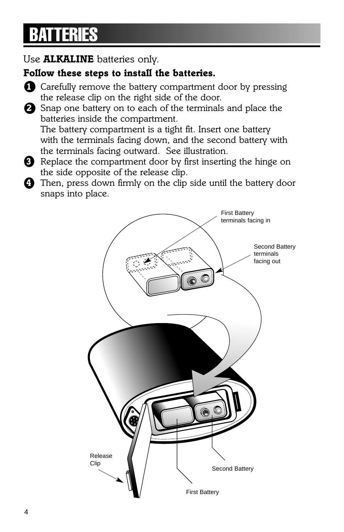# **BATTERIES**

### *Use ALKALINE batteries only.*

### *Follow these steps to install the batteries.*

- ●*<sup>1</sup> Carefully remove the battery compartment door by pressing the release clip on the right side of the door.*
- ●*<sup>2</sup> Snap one battery on to each of the terminals and place the batteries inside the compartment.*

*The battery compartment is a tight fit. Insert one battery with the terminals facing down, and the second battery with the terminals facing outward. See illustration.*

- ●*<sup>3</sup> Replace the compartment door by first inserting the hinge on the side opposite of the release clip.*
- ●*<sup>4</sup> Then, press down firmly on the clip side until the battery door snaps into place.*

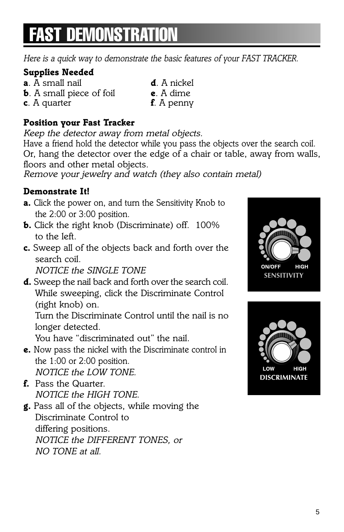# **FAST DEMONSTRAT**

*Here is a quick way to demonstrate the basic features of your FAST TRACKER.*

### *Supplies Needed*

- *a. A small nail d. A nickel b. A small piece of foil e. A dime*
- *c. A quarter f. A penny*
- 
- 
- *Position your Fast Tracker*

*Keep the detector away from metal objects.*

*Have a friend hold the detector while you pass the objects over the search coil. Or, hang the detector over the edge of a chair or table, away from walls, floors and other metal objects.*

*Remove your jewelry and watch (they also contain metal)*

#### *Demonstrate It!*

- *a. Click the power on, and turn the Sensitivity Knob to the 2:00 or 3:00 position.*
- *b. Click the right knob (Discriminate) off. 100% to the left.*
- *c. Sweep all of the objects back and forth over the search coil.*

*NOTICE the SINGLE TONE*

*d. Sweep the nail back and forth over the search coil. While sweeping, click the Discriminate Control (right knob) on.*

*Turn the Discriminate Control until the nail is no longer detected.*

*You have "discriminated out" the nail.*

- *e. Now pass the nickel with the Discriminate control in the 1:00 or 2:00 position. NOTICE the LOW TONE.*
- *f. Pass the Quarter. NOTICE the HIGH TONE.*
- *g. Pass all of the objects, while moving the Discriminate Control to differing positions. NOTICE the DIFFERENT TONES, or NO TONE at all.*



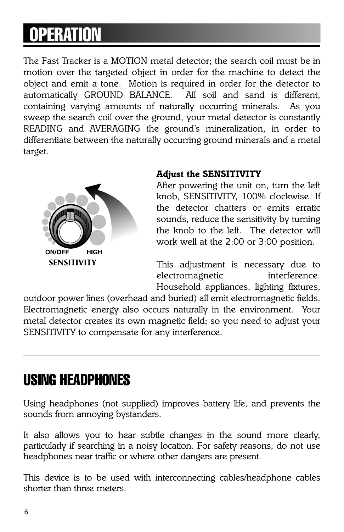# **OPERATION**

*The Fast Tracker is a MOTION metal detector; the search coil must be in motion over the targeted object in order for the machine to detect the object and emit a tone. Motion is required in order for the detector to* automatically GROUND BALANCE. *containing varying amounts of naturally occurring minerals. As you sweep the search coil over the ground, your metal detector is constantly READING and AVERAGING the ground's mineralization, in order to differentiate between the naturally occurring ground minerals and a metal target.*



#### *Adjust the SENSITIVITY*

*After powering the unit on, turn the left knob, SENSITIVITY, 100% clockwise. If the detector chatters or emits erratic sounds, reduce the sensitivity by turning the knob to the left. The detector will work well at the 2:00 or 3:00 position.*

*This adjustment is necessary due to electromagnetic interference. Household appliances, lighting fixtures,*

*outdoor power lines (overhead and buried) all emit electromagnetic fields. Electromagnetic energy also occurs naturally in the environment. Your metal detector creates its own magnetic field; so you need to adjust your SENSITIVITY to compensate for any interference.*

## **USING HEADPHONES**

*Using headphones (not supplied) improves battery life, and prevents the sounds from annoying bystanders.*

*It also allows you to hear subtle changes in the sound more clearly, particularly if searching in a noisy location. For safety reasons, do not use headphones near traffic or where other dangers are present.*

*This device is to be used with interconnecting cables/headphone cables shorter than three meters.*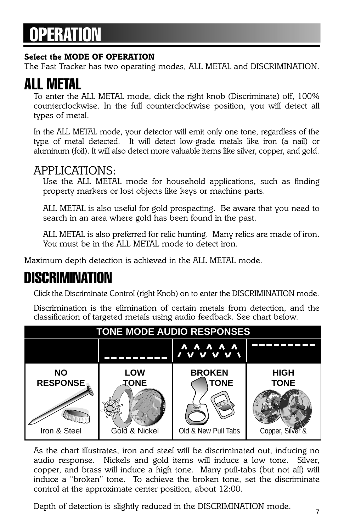# **OPERATION**

#### *Select the MODE OF OPERATION*

*The Fast Tracker has two operating modes, ALL METAL and DISCRIMINATION.*

## **ALL METAL**

*To enter the ALL METAL mode, click the right knob (Discriminate) off, 100% counterclockwise. In the full counterclockwise position, you will detect all types of metal.*

*In the ALL METAL mode, your detector will emit only one tone, regardless of the type of metal detected. It will detect low-grade metals like iron (a nail) or aluminum (foil). It will also detect more valuable items like silver, copper, and gold.*

### *APPLICATIONS:*

*Use the ALL METAL mode for household applications, such as finding property markers or lost objects like keys or machine parts.*

*ALL METAL is also useful for gold prospecting. Be aware that you need to search in an area where gold has been found in the past.*

*ALL METAL is also preferred for relic hunting. Many relics are made of iron. You must be in the ALL METAL mode to detect iron.*

*Maximum depth detection is achieved in the ALL METAL mode.*

## **DISCRIMINATION**

*Click the Discriminate Control (right Knob) on to enter the DISCRIMINATION mode.*

*Discrimination is the elimination of certain metals from detection, and the classification of targeted metals using audio feedback. See chart below.*



*As the chart illustrates, iron and steel will be discriminated out, inducing no audio response. Nickels and gold items will induce a low tone. Silver, copper, and brass will induce a high tone. Many pull-tabs (but not all) will induce a "broken" tone. To achieve the broken tone, set the discriminate control at the approximate center position, about 12:00.*

*Depth of detection is slightly reduced in the DISCRIMINATION mode.*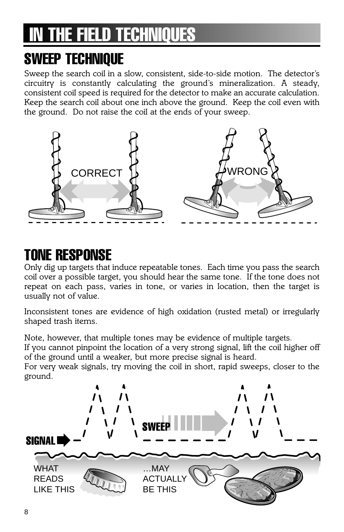# **INE FIELD TECHNIQUES**

## **SWEEP TECHNIQUE**

*Sweep the search coil in a slow, consistent, side-to-side motion. The detector's circuitry is constantly calculating the ground's mineralization. A steady, consistent coil speed is required for the detector to make an accurate calculation. Keep the search coil about one inch above the ground. Keep the coil even with the ground. Do not raise the coil at the ends of your sweep.*



## **TONE RESPONSE**

*Only dig up targets that induce repeatable tones. Each time you pass the search coil over a possible target, you should hear the same tone. If the tone does not repeat on each pass, varies in tone, or varies in location, then the target is usually not of value.*

*Inconsistent tones are evidence of high oxidation (rusted metal) or irregularly shaped trash items.*

*Note, however, that multiple tones may be evidence of multiple targets.*

*If you cannot pinpoint the location of a very strong signal, lift the coil higher off of the ground until a weaker, but more precise signal is heard.*

*For very weak signals, try moving the coil in short, rapid sweeps, closer to the ground.*

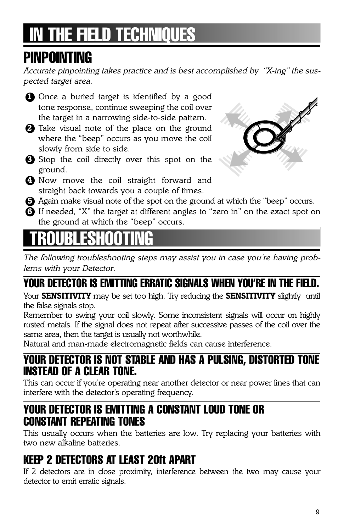# **THE FIELD TECHNIQUES**

## **PINPOINTING**

*Accurate pinpointing takes practice and is best accomplished by "X-ing" the suspected target area.*

- **1** Once a buried target is identified by a good *tone response, continue sweeping the coil over the target in a narrowing side-to-side pattern.*
- ●*2 Take visual note of the place on the ground where the "beep" occurs as you move the coil slowly from side to side.*
- ●*3 Stop the coil directly over this spot on the ground.*
- ●*4 Now move the coil straight forward and straight back towards you a couple of times.*



- ●*5 Again make visual note of the spot on the ground at which the "beep" occurs.*
- ●*6 If needed, "X" the target at different angles to "zero in" on the exact spot on the ground at which the "beep" occurs.*

## **TRUBBE**

*The following troubleshooting steps may assist you in case you're having problems with your Detector.*

## **YOUR DETECTOR IS EMITTING ERRATIC SIGNALS WHEN YOU'RE IN THE FIELD.**

*Your SENSITIVITY may be set too high. Try reducing the SENSITIVITY slightly until the false signals stop.* 

*Remember to swing your coil slowly. Some inconsistent signals will occur on highly rusted metals. If the signal does not repeat after successive passes of the coil over the same area, then the target is usually not worthwhile.*

*Natural and man-made electromagnetic fields can cause interference.*

### **YOUR DETECTOR IS NOT STABLE AND HAS A PULSING, DISTORTED TONE INSTEAD OF A CLEAR TONE.**

*This can occur if you're operating near another detector or near power lines that can interfere with the detector's operating frequency.* 

### **YOUR DETECTOR IS EMITTING A CONSTANT LOUD TONE OR CONSTANT REPEATING TONES**

*This usually occurs when the batteries are low. Try replacing your batteries with two new alkaline batteries.* 

## **KEEP 2 DETECTORS AT LEAST 20ft APART**

*If 2 detectors are in close proximity, interference between the two may cause your detector to emit erratic signals.*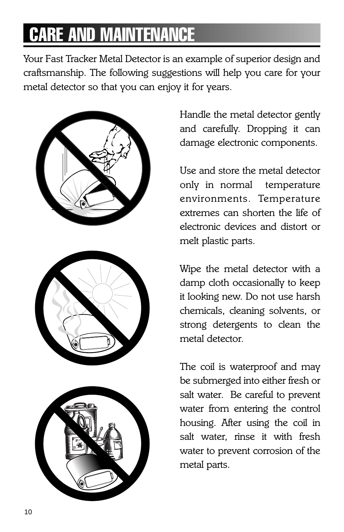# **CARE AND MAINTENA**

*Your Fast Tracker Metal Detector is an example of superior design and craftsmanship. The following suggestions will help you care for your metal detector so that you can enjoy it for years.*







*Handle the metal detector gently and carefully. Dropping it can damage electronic components.*

*Use and store the metal detector only in normal temperature environments. Temperature extremes can shorten the life of electronic devices and distort or melt plastic parts.*

*Wipe the metal detector with a damp cloth occasionally to keep it looking new. Do not use harsh chemicals, cleaning solvents, or strong detergents to clean the metal detector.*

*The coil is waterproof and may be submerged into either fresh or salt water. Be careful to prevent water from entering the control housing. After using the coil in salt water, rinse it with fresh water to prevent corrosion of the metal parts.*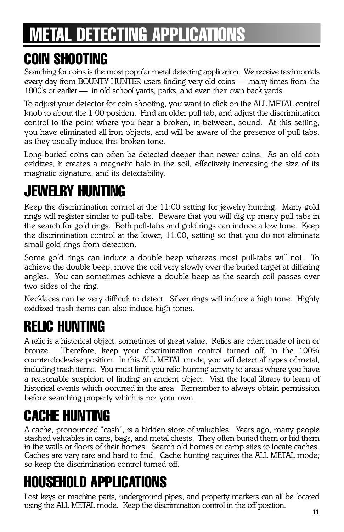# **METAL DETECTING APPLICATIONS**

## **COIN SHOOTING**

*Searching for coins is the most popular metal detecting application. We receive testimonials every day from BOUNTY HUNTER users finding very old coins — many times from the 1800's or earlier — in old school yards, parks, and even their own back yards.*

*To adjust your detector for coin shooting, you want to click on the ALL METAL control knob to about the 1:00 position. Find an older pull tab, and adjust the discrimination control to the point where you hear a broken, in-between, sound. At this setting, you have eliminated all iron objects, and will be aware of the presence of pull tabs, as they usually induce this broken tone.*

*Long-buried coins can often be detected deeper than newer coins. As an old coin oxidizes, it creates a magnetic halo in the soil, effectively increasing the size of its magnetic signature, and its detectability.*

## **JEWELRY HUNTING**

*Keep the discrimination control at the 11:00 setting for jewelry hunting. Many gold rings will register similar to pull-tabs. Beware that you will dig up many pull tabs in the search for gold rings. Both pull-tabs and gold rings can induce a low tone. Keep the discrimination control at the lower, 11:00, setting so that you do not eliminate small gold rings from detection.*

*Some gold rings can induce a double beep whereas most pull-tabs will not. To achieve the double beep, move the coil very slowly over the buried target at differing angles. You can sometimes achieve a double beep as the search coil passes over two sides of the ring.*

*Necklaces can be very difficult to detect. Silver rings will induce a high tone. Highly oxidized trash items can also induce high tones.*

## **RELIC HUNTING**

*A relic is a historical object, sometimes of great value. Relics are often made of iron or bronze. Therefore, keep your discrimination control turned off, in the 100% counterclockwise position. In this ALL METAL mode, you will detect all types of metal, including trash items. You must limit you relic-hunting activity to areas where you have a reasonable suspicion of finding an ancient object. Visit the local library to learn of historical events which occurred in the area. Remember to always obtain permission before searching property which is not your own.*

## **CACHE HUNTING**

*A cache, pronounced "cash", is a hidden store of valuables. Years ago, many people stashed valuables in cans, bags, and metal chests. They often buried them or hid them in the walls or floors of their homes. Search old homes or camp sites to locate caches. Caches are very rare and hard to find. Cache hunting requires the ALL METAL mode; so keep the discrimination control turned off.*

# **HOUSEHOLD APPLICATIONS**

*Lost keys or machine parts, underground pipes, and property markers can all be located using the ALL METAL mode. Keep the discrimination control in the off position.*